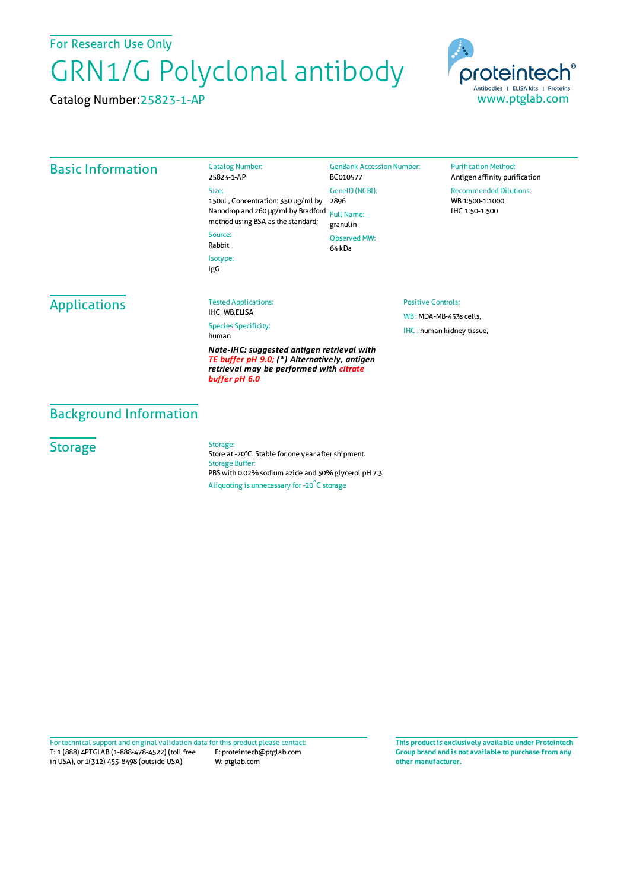For Research Use Only

## GRN1/G Polyclonal antibody

Catalog Number:25823-1-AP



| <b>Basic Information</b> | <b>Catalog Number:</b><br>25823-1-AP                                                                                                                           | <b>GenBank Accession Number:</b><br>BC010577 | <b>Purification Method:</b><br>Antigen affinity purification |
|--------------------------|----------------------------------------------------------------------------------------------------------------------------------------------------------------|----------------------------------------------|--------------------------------------------------------------|
|                          | Size:<br>150ul, Concentration: 350 µg/ml by<br>Nanodrop and 260 µg/ml by Bradford<br>method using BSA as the standard;<br>Source:<br>Rabbit<br>Isotype:<br>IgG | GenelD (NCBI):<br>2896                       | <b>Recommended Dilutions:</b><br>WB 1:500-1:1000             |
|                          |                                                                                                                                                                | <b>Full Name:</b><br>granulin                | IHC 1:50-1:500                                               |
|                          |                                                                                                                                                                | <b>Observed MW:</b><br>64 kDa                |                                                              |
|                          |                                                                                                                                                                |                                              |                                                              |
| <b>Applications</b>      | <b>Tested Applications:</b>                                                                                                                                    | <b>Positive Controls:</b>                    |                                                              |
|                          | IHC, WB,ELISA<br><b>Species Specificity:</b><br>human                                                                                                          |                                              | WB: MDA-MB-453s cells,                                       |
|                          |                                                                                                                                                                | IHC: human kidney tissue,                    |                                                              |
|                          | Note-IHC: suggested antigen retrieval with<br>TE buffer pH 9.0; (*) Alternatively, antigen<br>retrieval may be performed with citrate<br>buffer pH 6.0         |                                              |                                                              |

## Background Information

## **Storage**

Storage: Store at -20°C. Stable for one year after shipment. Storage Buffer: PBS with 0.02% sodium azide and 50% glycerol pH 7.3. Aliquoting is unnecessary for -20<sup>°</sup>C storage

T: 1 (888) 4PTGLAB (1-888-478-4522) (toll free in USA), or 1(312) 455-8498 (outside USA) E: proteintech@ptglab.com W: ptglab.com Fortechnical support and original validation data forthis product please contact: **This productis exclusively available under Proteintech**

**Group brand and is not available to purchase from any other manufacturer.**